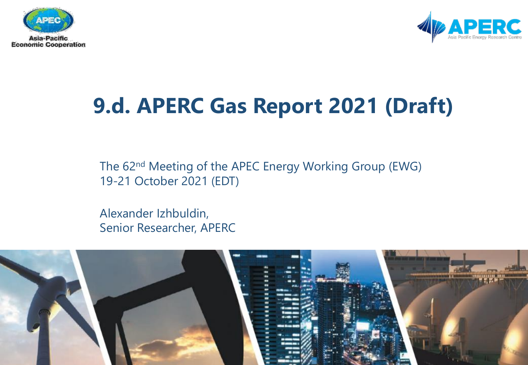



# **9.d. APERC Gas Report 2021 (Draft)**

The 62nd Meeting of the APEC Energy Working Group (EWG) 19-21 October 2021 (EDT)

Alexander Izhbuldin, Senior Researcher, APERC

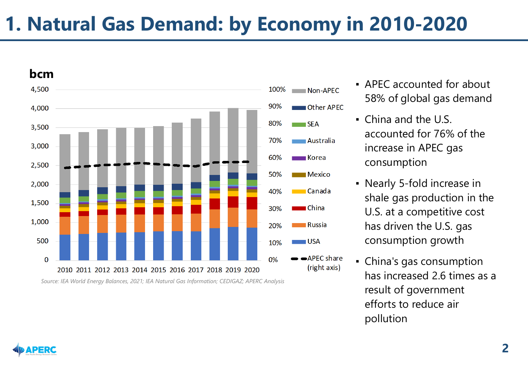# **1. Natural Gas Demand: by Economy in 2010-2020**



- APEC accounted for about 58% of global gas demand
- China and the U.S. accounted for 76% of the increase in APEC gas consumption
- Nearly 5-fold increase in shale gas production in the U.S. at a competitive cost has driven the U.S. gas consumption growth
- China's gas consumption has increased 2.6 times as a result of government efforts to reduce air pollution

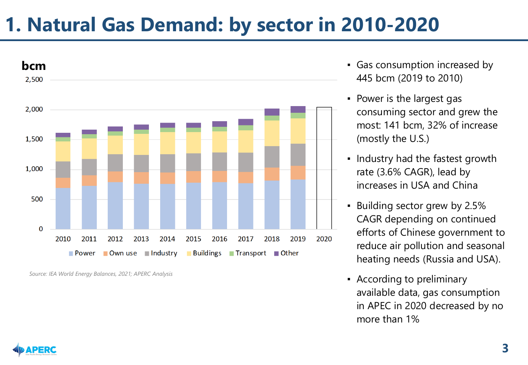## **1. Natural Gas Demand: by sector in 2010-2020**



*Source: IEA World Energy Balances, 2021; APERC Analysis*

- Gas consumption increased by 445 bcm (2019 to 2010)
- Power is the largest gas consuming sector and grew the most: 141 bcm, 32% of increase (mostly the U.S.)
- Industry had the fastest growth rate (3.6% CAGR), lead by increases in USA and China
- Building sector grew by 2.5% CAGR depending on continued efforts of Chinese government to reduce air pollution and seasonal heating needs (Russia and USA).
- According to preliminary available data, gas consumption in APEC in 2020 decreased by no more than 1%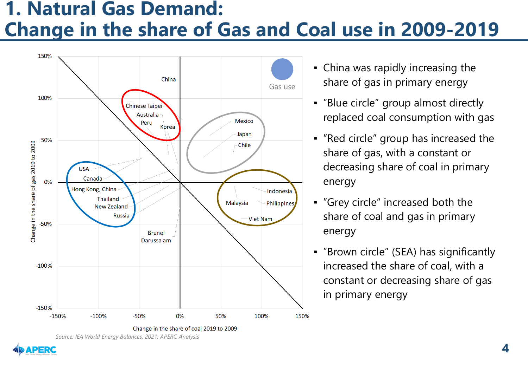#### **1. Natural Gas Demand: Change in the share of Gas and Coal use in 2009-2019**



- China was rapidly increasing the share of gas in primary energy
- "Blue circle" group almost directly replaced coal consumption with gas
- "Red circle" group has increased the share of gas, with a constant or decreasing share of coal in primary energy
- "Grey circle" increased both the share of coal and gas in primary energy
- "Brown circle" (SEA) has significantly increased the share of coal, with a constant or decreasing share of gas in primary energy

*Source: IEA World Energy Balances, 2021; APERC Analysis*

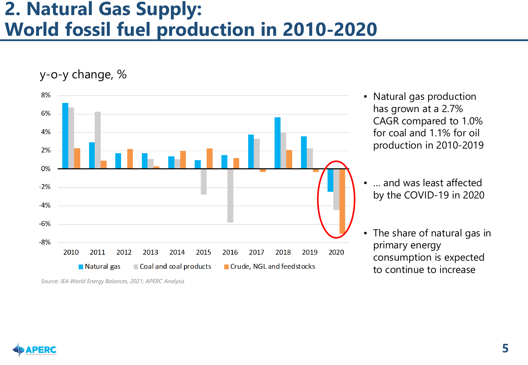#### **2. Natural Gas Supply: World fossil fuel production in 2010-2020**



<sup>•</sup> Natural gas production has grown at a 2.7% CAGR compared to 1.0% for coal and 1.1% for oil production in 2010-2019



<sup>...</sup> and was least affected by the COVID-19 in 2020

<sup>▪</sup> The share of natural gas in primary energy consumption is expected to continue to increase

*Source: IEA World Energy Balances, 2021; APERC Analysis*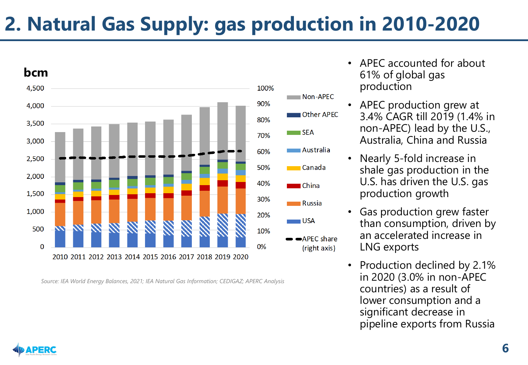# **2. Natural Gas Supply: gas production in 2010-2020**



- APEC accounted for about 61% of global gas production
- APEC production grew at 3.4% CAGR till 2019 (1.4% in non-APEC) lead by the U.S., Australia, China and Russia
- Nearly 5-fold increase in shale gas production in the U.S. has driven the U.S. gas production growth
- Gas production grew faster than consumption, driven by an accelerated increase in LNG exports
- Production declined by 2.1% in 2020 (3.0% in non-APEC countries) as a result of lower consumption and a significant decrease in pipeline exports from Russia

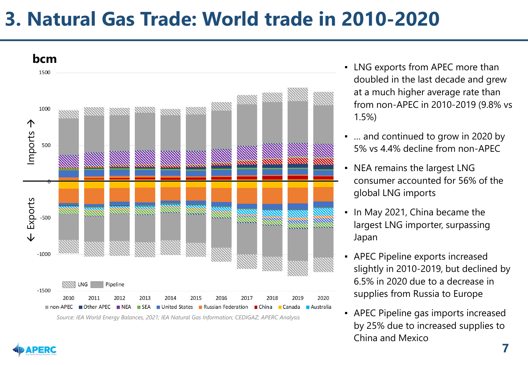#### **3. Natural Gas Trade: World trade in 2010-2020**



- LNG exports from APEC more than doubled in the last decade and grew at a much higher average rate than from non-APEC in 2010-2019 (9.8% vs 1.5%)
- … and continued to grow in 2020 by 5% vs 4.4% decline from non-APEC
- NEA remains the largest LNG consumer accounted for 56% of the global LNG imports
- In May 2021, China became the largest LNG importer, surpassing Japan
- APEC Pipeline exports increased slightly in 2010-2019, but declined by 6.5% in 2020 due to a decrease in supplies from Russia to Europe
- **APEC Pipeline gas imports increased** by 25% due to increased supplies to China and Mexico

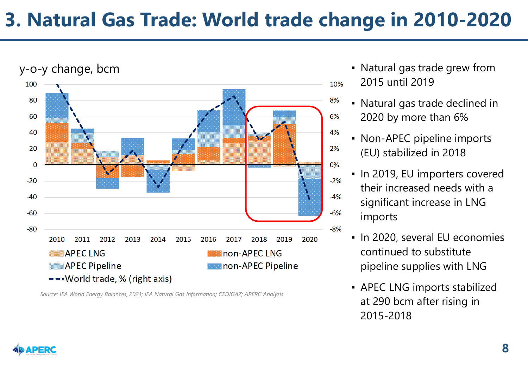## **3. Natural Gas Trade: World trade change in 2010-2020**



- Natural gas trade grew from 2015 until 2019
- Natural gas trade declined in 2020 by more than 6%
- Non-APEC pipeline imports (EU) stabilized in 2018
- In 2019, EU importers covered their increased needs with a significant increase in LNG imports
- In 2020, several EU economies continued to substitute pipeline supplies with LNG
- APEC LNG imports stabilized at 290 bcm after rising in 2015-2018

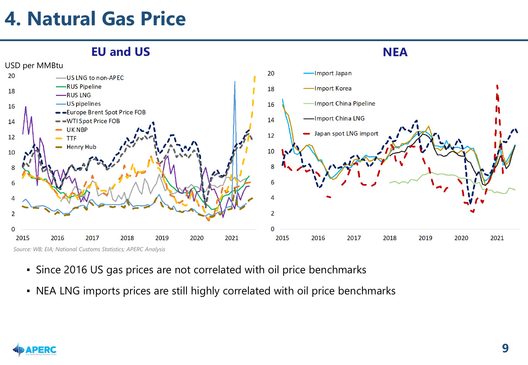# **4. Natural Gas Price**



- Since 2016 US gas prices are not correlated with oil price benchmarks
- NEA LNG imports prices are still highly correlated with oil price benchmarks

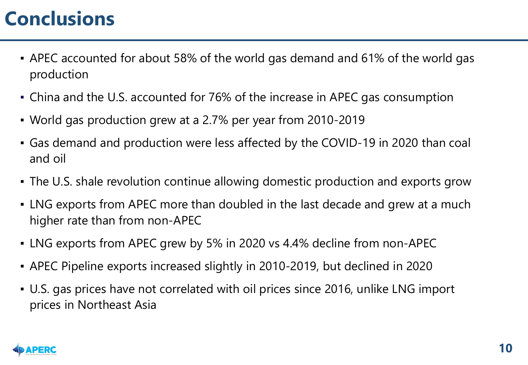# **Conclusions**

- APEC accounted for about 58% of the world gas demand and 61% of the world gas production
- China and the U.S. accounted for 76% of the increase in APEC gas consumption
- World gas production grew at a 2.7% per year from 2010-2019
- Gas demand and production were less affected by the COVID-19 in 2020 than coal and oil
- The U.S. shale revolution continue allowing domestic production and exports grow
- LNG exports from APEC more than doubled in the last decade and grew at a much higher rate than from non-APEC
- LNG exports from APEC grew by 5% in 2020 vs 4.4% decline from non-APEC
- APEC Pipeline exports increased slightly in 2010-2019, but declined in 2020
- U.S. gas prices have not correlated with oil prices since 2016, unlike LNG import prices in Northeast Asia